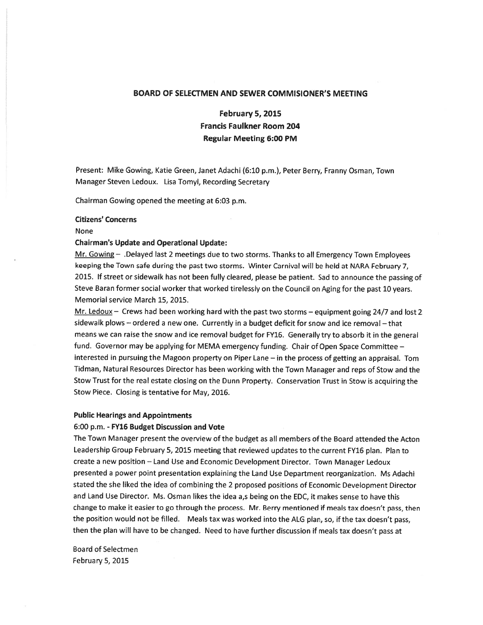# BOARD OF SELECTMEN AND SEWER COMMISIONER'S MEETING

# February 5, 2015 Francis Faulkner Room 204 Regular Meeting 6:00 PM

Present: Mike Gowing, Katie Green, Janet Adachi (6:10 p.m.), Peter Berry, Franny Osman, Town Manager Steven Ledoux. Lisa Tomyl, Recording Secretary

Chairman Gowing opened the meeting at 6:03 p.m.

# Citizens' Concerns

#### None

# Chairman's Update and Operational Update:

Mr. Gowing — .Delayed last <sup>2</sup> meetings due to two storms. Thanks to all Emergency Town Employees keeping the Town safe during the pas<sup>t</sup> two storms. Winter Carnival will be held at NARA February 7, 2015. if street or sidewalk has not been fully cleared, <sup>p</sup>lease be patient. Sad to announce the passing of Steve Baran former social worker that worked tirelessly on the Council on Aging for the pas<sup>t</sup> <sup>10</sup> years. Memorial service March 15, 2015.

Mr. Ledoux - Crews had been working hard with the past two storms - equipment going 24/7 and lost 2 sidewalk plows - ordered a new one. Currently in a budget deficit for snow and ice removal - that means we can raise the snow and ice removal budget for FY16. Generally try to absorb it in the genera<sup>l</sup> fund. Governor may be applying for MEMA emergency funding. Chair of Open Space Committee interested in pursuing the Magoon property on Piper Lane — in the process of getting an appraisal. Tom Tidman, Natural Resources Director has been working with the Town Manager and reps of Stow and the Stow Trust for the real estate closing on the Dunn Property. Conservation Trust in Stow is acquiring the Stow Piece. Closing is tentative for May, 2016.

# Public Hearings and Appointments

### 6:00 p.m. - FY16 Budget Discussion and Vote

The Town Manager presen<sup>t</sup> the overview of the budget as all members of the Board attended the Acton Leadership Group February 5, <sup>2015</sup> meeting that reviewed updates to the current FY16 <sup>p</sup>lan. Plan to create <sup>a</sup> new position — Land Use and Economic Development Director. Town Manager Ledoux presented <sup>a</sup> power point presentation explaining the Land Use Department reorganization. Ms Adachi stated the she liked the idea of combining the <sup>2</sup> propose<sup>d</sup> positions of Economic Development Director and Land Use Director. Ms. Osman likes the idea a,s being on the EDC, it makes sense to have this change to make it easier to go through the process. Mr. Berry mentioned if meals tax doesn't pass, then the position would not be fiiled. Meals tax was worked into the ALG <sup>p</sup>lan, so, if the tax doesn't pass, then the <sup>p</sup>lan will have to be changed. Need to have further discussion if meals tax doesn't pass at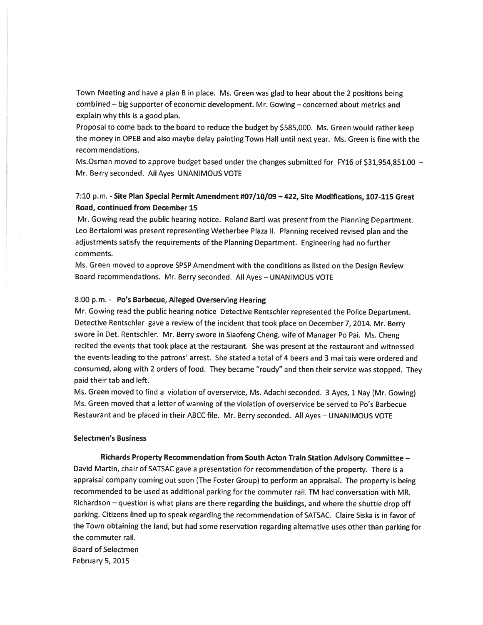Town Meeting and have <sup>a</sup> <sup>p</sup>lan <sup>B</sup> in <sup>p</sup>lace. Ms. Green was <sup>g</sup>lad to hear about the <sup>2</sup> positions being combined — big supporter of economic development. Mr. Gowing — concerned about metrics and explain why this is <sup>a</sup> good plan.

Proposal to come back to the board to reduce the budget by \$585,000. Ms. Green would rather keep the money in OPEB and also maybe delay painting Town Hall until next year. Ms. Green is fine with the recommendations.

Ms.Osman moved to approve budget based under the changes submitted for FY16 of \$31,954,851.00 -Mr. Berry seconded. All Ayes UNANIMOUS VOTE

# 7:10 p.m. - Site Plan Special Permit Amendment #07/10/09—422, Site Modifications, 107-115 Great Road, continued from December 15

Mr. Gowing read the public hearing notice. Roland Barti was presen<sup>t</sup> from the Planning Department. Leo Bertalomi was presen<sup>t</sup> representing Wetherbee Plaza II. Planning received revised <sup>p</sup>lan and the adjustments satisfy the requirements of the Planning Department. Engineering had no further comments.

Ms. Green moved to approve SPSP Amendment with the conditions as listed on the Design Review Board recommendations. Mr. Berry seconded. All Ayes — UNANIMOUS VOTE

### 8:00 p.m.- P0's Barbecue, Alleged Overserving Hearing

Mr. Gowing read the public hearing notice Detective Rentschler represented the Police Department. Detective Rentschler gave <sup>a</sup> review of the incident that took <sup>p</sup>lace on December 7, 2014. Mr. Berry swore in Det. Rentschler. Mr. Berry swore in Siaofeng Cheng, wife of Manager Po Pai. Ms. Cheng recited the events that took <sup>p</sup>lace at the restaurant. She was presen<sup>t</sup> at the restaurant and witnessed the events leading to the patrons' arrest. She stated <sup>a</sup> total of 4 beers and 3 mai tais were ordered and consumed, along with <sup>2</sup> orders of food. They became "roudy" and then their service was stopped. They paid their tab and left.

Ms. Green moved to find <sup>a</sup> violation of overservice, Ms. Adachi seconded. <sup>3</sup> Ayes, <sup>1</sup> Nay (Mr. Gowing) Ms. Green moved that a letter of warning of the violation of overservice be served to Po's Barbecue Restaurant and be <sup>p</sup>laced in their ABCC file. Mr. Berry seconded. All Ayes — UNANIMOUS VOTE

### Seiectmen's Business

### Richards Property Recommendation from South Acton Train Station Advisory Committee —

David Martin, chair of SATSAC gave <sup>a</sup> presentation for recommendation of the property. There is <sup>a</sup> appraisai company coming out soon (The Foster Group) to perform an appraisal. The property is being recommended to be used as additional parking for the commuter rail. TM had conversation with MR. Richardson — question is what <sup>p</sup>lans are there regarding the buildings, and where the shuttle drop off parking. Citizens lined up to speak regarding the recommendation of SATSAC. Claire Siska is in favor of the Town obtaining the land, but had some reservation regarding alternative uses other than parking for the commuter rail.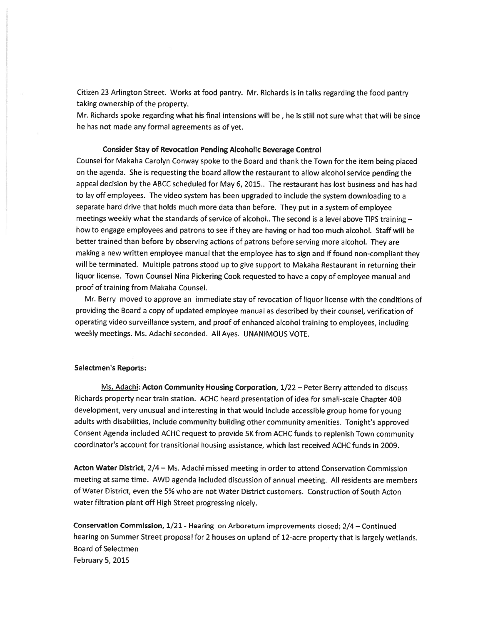Citizen 23 Arlington Street. Works at food pantry. Mr. Richards is in talks regarding the food pantry taking ownership of the property.

Mr. Richards spoke regarding what his final intensions will be, he is still not sure what that will be since he has not made any formal agreements as of yet.

# Consider Stay of Revocation Pending Alcoholic Beverage Control

Counsel for Makaha Carolyn Conway spoke to the Board and thank the Town for the item being <sup>p</sup>laced on the agenda. She is requesting the board allow the restaurant to allow alcohol service pending the appeal decision by the ABCC scheduled for May 6, 2015.. The restaurant has lost business and has had to lay off employees. The video system has been upgraded to include the system downloading to <sup>a</sup> separate hard drive that holds much more data than before. They pu<sup>t</sup> in <sup>a</sup> system of employee meetings weekly what the standards of service of alcohol.. The second is <sup>a</sup> level above TIPS training how to engage employees and patrons to see if they are having or had too much alcohol. Staff will be better trained than before by observing actions of patrons before serving more alcohol. They are making <sup>a</sup> new written employee manual that the employee has to sign and if found non-compliant they will be terminated. Multiple patrons stood up to <sup>g</sup>ive suppor<sup>t</sup> to Makaha Restaurant in returning their liquor license. Town Counsel Nina Pickering Cook requested to have <sup>a</sup> copy of employee manual and proof of training from Makaha Counsel.

Mr. Berry moved to approve an immediate stay of revocation of liquor license with the conditions of providing the Board <sup>a</sup> copy of updated employee manual as described by their counsel, verification of operating video surveillance system, and proo<sup>f</sup> of enhanced alcohol training to employees, including weekly meetings. Ms. Adachi seconded. All Ayes. UNANIMOUS VOTE.

### Selectmen's Reports:

Ms. Adachi: Acton Community Housing Corporation, 1/22 — Peter Berry attended to discuss Richards property near train station. ACHC heard presentation of idea for small-scale Chapter <sup>408</sup> development, very unusual and interesting in that would include accessible group home for young adults with disabilities, include community building other community amenities. Tonight's approve<sup>d</sup> Consent Agenda included ACHC reques<sup>t</sup> to provide 5K from ACHC funds to replenish Town community coordinator's account for transitional housing assistance, which last received ACHC funds in 2009.

Acton Water District, 2/4 — Ms. Adachi missed meeting in order to attend Conservation Commission meeting at same time. AWD agenda included discussion of annual meeting. All residents are members of Water District, even the 5% who are not Water District customers. Construction of South Acton water filtration plant off High Street progressing nicely.

Conservation Commission, 1/21 - Hearing on Arboretum improvements closed; 2/4 - Continued hearing on Summer Street proposa<sup>l</sup> for <sup>2</sup> houses on upland of 12-acre property that is largely wetlands. Board of Selectmen February 5, 2015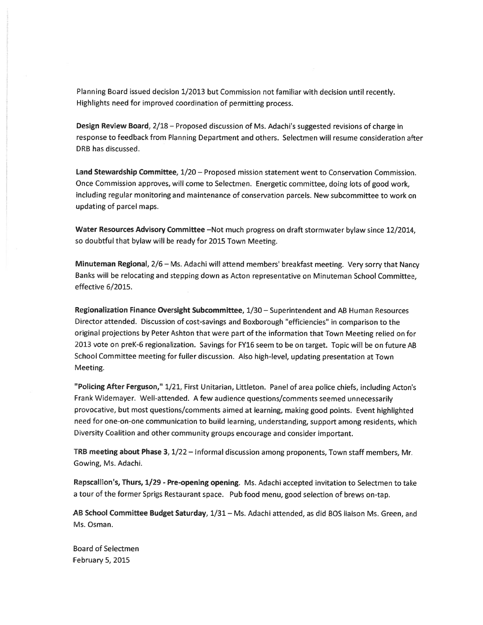Planning Board issued decision 1/2013 but Commission not familiar with decision until recently. Highlights need for improved coordination of permitting process.

Design Review Board, 2/18 - Proposed discussion of Ms. Adachi's suggested revisions of charge in resonse to feedback from Planning Department and others. Selectmen will resume consideration after DRB has discussed.

Land Stewardship Committee, 1/20 — Proposed mission statement went to Conservation Commission. Once Commission approves, will come to Selectmen. Energetic committee, doing lots of goo<sup>d</sup> work, including regular monitoring and maintenance of conservation parcels. New subcommittee to work on updating of parcel maps.

Water Resources Advisory Committee -Not much progress on draft stormwater bylaw since 12/2014, so doubtful that bylaw will be ready for 2015 Town Meeting.

Minuteman Regionai, 2/6 — Ms. Adachi will attend members' breakfast meeting. Very sorry that Nancy Banks will be relocating and stepping down as Acton representative on Minuteman School Committee, effective 5/2015.

Regionalization Finance Oversight Subcommittee, 1/30 — Superintendent and AB Human Resources Director attended. Discussion of cost-savings and Boxborough "efficiencies" in comparison to the original projections by Peter Ashton that were par<sup>t</sup> of the information that Town Meeting relied on for <sup>2013</sup> vote on preK-6 regionalization. Savings for FY16 seem to be on target. Topic will be on future AB School Committee meeting for fuller discussion. Also high-level, updating presentation at Town Meeting.

"Poilcing After Ferguson," 1/21, First Unitarian, Littleton. Panel of area police chiefs, including Acton's Frank Widemayer. Well-attended. <sup>A</sup> few audience questions/comments seemed unnecessarily provocative, but most questions/comments aimed at learning, making goo<sup>d</sup> points. Event highlighted need for one-on-one communication to build learning, understanding, suppor<sup>t</sup> among residents, which Diversity Coalition and other community groups encourage and consider important.

TRB meeting about Phase 3,  $1/22$  – Informal discussion among proponents, Town staff members, Mr. Gowing, Ms. Adachi.

Rapscallion's, Thurs, 1/29 - Pre-opening opening. Ms. Adachi accepted invitation to Selectmen to take <sup>a</sup> tour of the former Sprigs Restaurant space. Pub food menu, goo<sup>d</sup> selection of brews on-tap.

AB School Committee Budget Saturday, 1/31 - Ms. Adachi attended, as did BOS liaison Ms. Green, and Ms. Osman.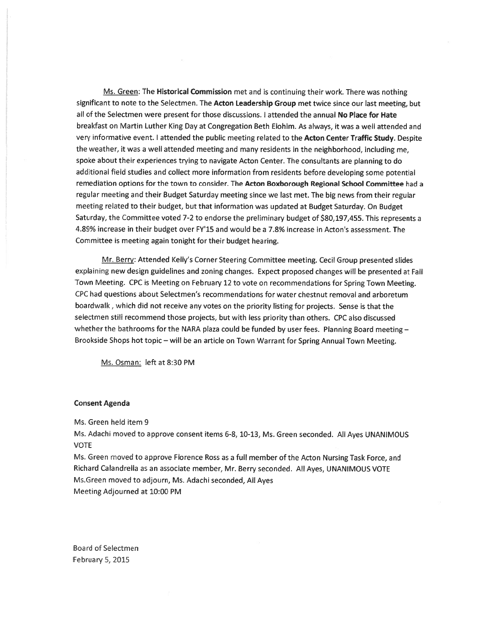Ms. Green: The Historical Commission met and is continuing their work. There was nothing significant to note to the Selectmen. The Acton Leadership Group met twice since our last meeting, but all of the Selectmen were presen<sup>t</sup> for those discussions. I attended the annual No Place for Hate breakfast on Martin Luther King Day at Congregation Beth Elohim. As always, it was <sup>a</sup> well attended and very informative event. I attended the public meeting related to the Acton Center Traffic Study. Despite the weather, it was <sup>a</sup> well attended meeting and many residents in the neighborhood, including me, spoke about their experiences trying to navigate Acton Center. The consultants are <sup>p</sup>lanning to do additional field studies and collect more information from residents before developing some potential remediation options for the town to consider. The Acton Boxborough Regional School Committee had a regular meeting and their Budget Saturday meeting since we last met. The big news from their regular meeting related to their budget, but that information was updated at Budget Saturday. On Budget Saturday, the Committee voted 7-2 to endorse the preliminary budget of \$80,197,455. This represents a 4.89% increase in their budget over FY'15 and would be a 7.8% increase in Acton's assessment. The Committee is meeting again tonight for their budget hearing.

Mr. Berry: Attended Kelly's Corner Steering Committee meeting. Cecil Group presented slides explaining new design guidelines and zoning changes. Expect propose<sup>d</sup> changes will be presented at Fall Town Meeting. CPC is Meeting on February <sup>12</sup> to vote on recommendations for Spring Town Meeting. CRC had ouestions about Selectmen's recommendations for water chestnut removal and arboretum boardwalk, which did not receive any votes on the priority listing for projects. Sense is that the selectmen still recommend those projects, but with less priority than others. CPC also discussed whether the bathrooms for the NARA plaza could be funded by user fees. Planning Board meeting  $-$ Brockside Shops hot topic — will be an article on Town Warrant for Spring Annual Town Meeting.

Ms. Osman: left at 8:30 PM

### Consent Agenda

Ms. Green held item 9

Ms. Adachi moved to approve consent items 6-8, 10-13, Ms. Green seconded. All Ayes UNANIMOUS **VOTE** 

Ms. Green moved to approve Florence Ross as <sup>a</sup> full member of the Acton Nursing Task Force, and Richard Calandrella as an associate member, Mr. Berry seconded. All Ayes, UNANIMOUS VOTE Ms.Green moved to adjourn, Ms. Adachi seconded, All Ayes Meeting Adjourned at 10:00 PM